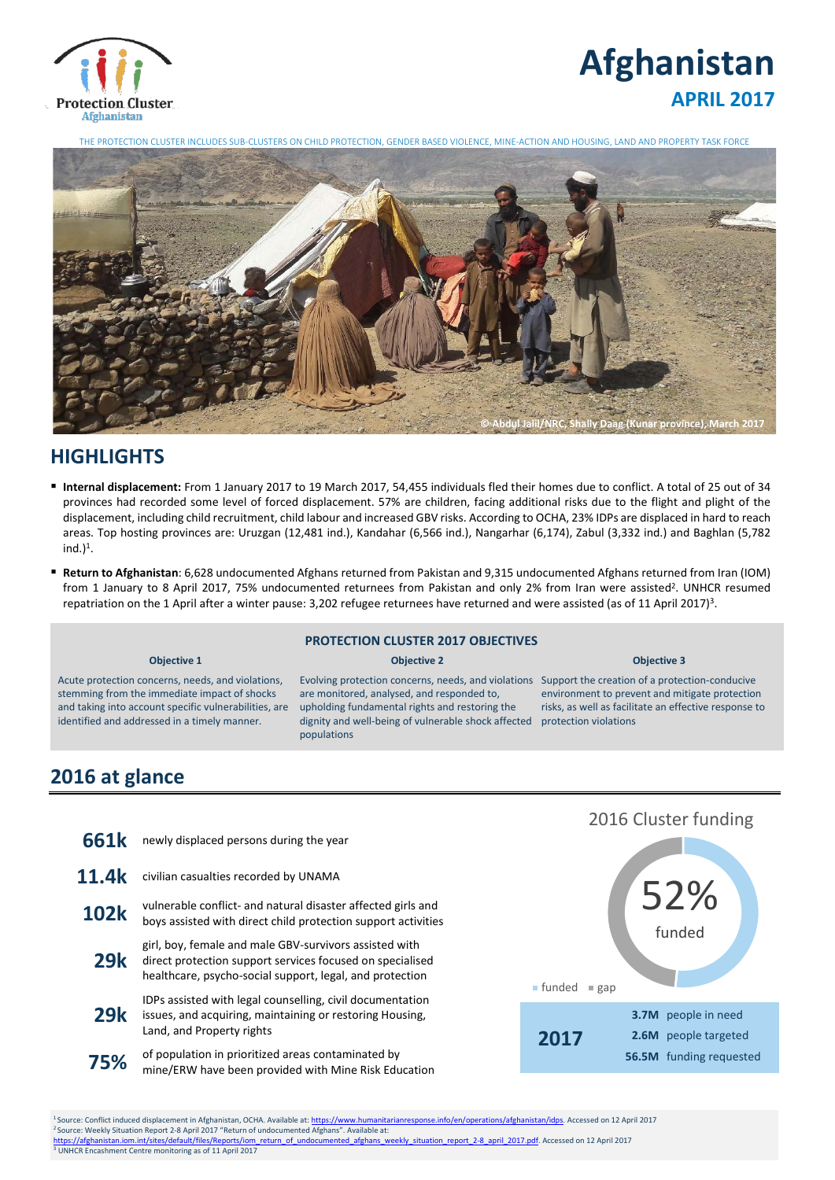

# **Afghanistan APRIL 2017**

THE PROTECTION CLUSTER INCLUDES SUB-CLUSTERS ON CHILD PROTECTION, GENDER BASED VIOLENCE, MINE-ACTION AND HOUSING, LAND AND PROPERTY TASK FORCE



## **HIGHLIGHTS**

- **Internal displacement:** From 1 January 2017 to 19 March 2017, 54,455 individuals fled their homes due to conflict. A total of 25 out of 34 provinces had recorded some level of forced displacement. 57% are children, facing additional risks due to the flight and plight of the displacement, including child recruitment, child labour and increased GBV risks. According to OCHA, 23% IDPs are displaced in hard to reach areas. Top hosting provinces are: Uruzgan (12,481 ind.), Kandahar (6,566 ind.), Nangarhar (6,174), Zabul (3,332 ind.) and Baghlan (5,782  $ind.$ )<sup>1</sup>.
- **Return to Afghanistan**: 6,628 undocumented Afghans returned from Pakistan and 9,315 undocumented Afghans returned from Iran (IOM) from 1 January to 8 April 2017, 75% undocumented returnees from Pakistan and only 2% from Iran were assisted<sup>2</sup>. UNHCR resumed repatriation on the 1 April after a winter pause: 3,202 refugee returnees have returned and were assisted (as of 11 April 2017)<sup>3</sup>.

### **PROTECTION CLUSTER 2017 OBJECTIVES**

#### **Objective 1 Objective 2 Objective 3**

Acute protection concerns, needs, and violations, stemming from the immediate impact of shocks and taking into account specific vulnerabilities, are identified and addressed in a timely manner.

#### Evolving protection concerns, needs, and violations Support the creation of a protection-conducive are monitored, analysed, and responded to, upholding fundamental rights and restoring the dignity and well-being of vulnerable shock affected protection violations populations

environment to prevent and mitigate protection risks, as well as facilitate an effective response to

# **2016 at glance**

| 661k        | newly displaced persons during the year                                                                                                                                         |
|-------------|---------------------------------------------------------------------------------------------------------------------------------------------------------------------------------|
| 11.4k       | civilian casualties recorded by UNAMA                                                                                                                                           |
| <b>102k</b> | vulnerable conflict- and natural disaster affected girls and<br>boys assisted with direct child protection support activities                                                   |
| <b>29k</b>  | girl, boy, female and male GBV-survivors assisted with<br>direct protection support services focused on specialised<br>healthcare, psycho-social support, legal, and protection |
| <b>29k</b>  | IDPs assisted with legal counselling, civil documentation<br>issues, and acquiring, maintaining or restoring Housing,<br>Land, and Property rights                              |
| 75%         | of population in prioritized areas contaminated by<br>mine/ERW have been provided with Mine Risk Education                                                                      |



<sup>1</sup> Source: Conflict induced displacement in Afghanistan, OCHA. Available at[: https://www.humanitarianresponse.info/en/operations/afghanistan/idps.](https://www.humanitarianresponse.info/en/operations/afghanistan/idps) Accessed on 12 April 2017 <sup>2</sup> Source: Weekly Situation Report 2-8 April 2017 "Return of undocumented Afghans". Available at:<br><u>https://afghanistan.iom.int/sites/default/files/Reports/iom\_return\_of\_undocumented\_afghans\_weekly\_situation\_report\_2-8\_apr</u> <sup>3</sup> UNHCR Encashment Centre monitoring as of 11 April 2017